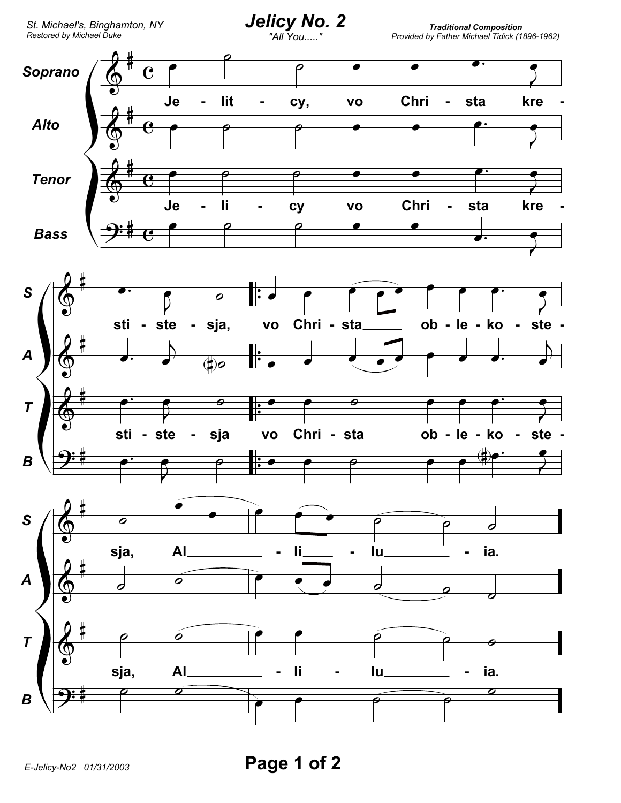

Traditional Composition<br>Provided by Father Michael Tidick (1896-1962)



Page 1 of 2